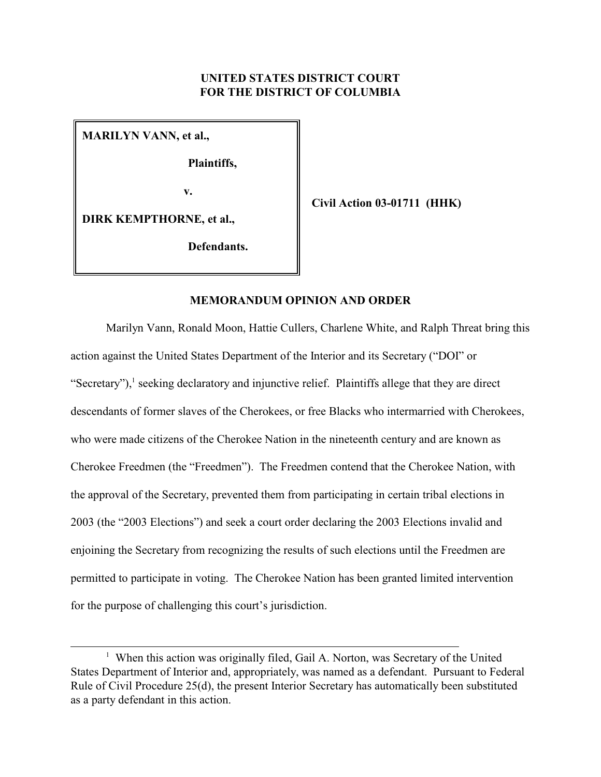## **UNITED STATES DISTRICT COURT FOR THE DISTRICT OF COLUMBIA**

**MARILYN VANN, et al.,**

**Plaintiffs,**

 **v.**

**Civil Action 03-01711 (HHK)**

**DIRK KEMPTHORNE, et al.,**

**Defendants.**

## **MEMORANDUM OPINION AND ORDER**

Marilyn Vann, Ronald Moon, Hattie Cullers, Charlene White, and Ralph Threat bring this action against the United States Department of the Interior and its Secretary ("DOI" or "Secretary"),<sup>1</sup> seeking declaratory and injunctive relief. Plaintiffs allege that they are direct descendants of former slaves of the Cherokees, or free Blacks who intermarried with Cherokees, who were made citizens of the Cherokee Nation in the nineteenth century and are known as Cherokee Freedmen (the "Freedmen"). The Freedmen contend that the Cherokee Nation, with the approval of the Secretary, prevented them from participating in certain tribal elections in 2003 (the "2003 Elections") and seek a court order declaring the 2003 Elections invalid and enjoining the Secretary from recognizing the results of such elections until the Freedmen are permitted to participate in voting. The Cherokee Nation has been granted limited intervention for the purpose of challenging this court's jurisdiction.

<sup>&</sup>lt;sup>1</sup> When this action was originally filed, Gail A. Norton, was Secretary of the United States Department of Interior and, appropriately, was named as a defendant. Pursuant to Federal Rule of Civil Procedure 25(d), the present Interior Secretary has automatically been substituted as a party defendant in this action.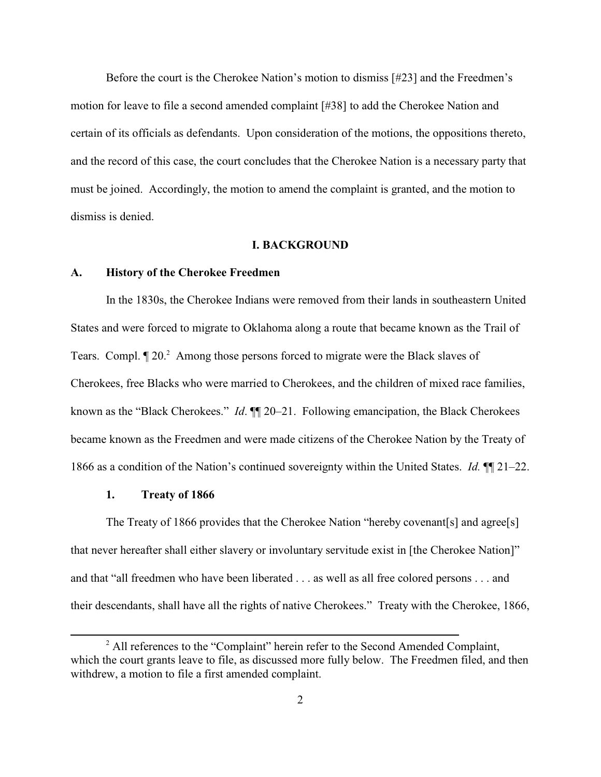Before the court is the Cherokee Nation's motion to dismiss [#23] and the Freedmen's motion for leave to file a second amended complaint [#38] to add the Cherokee Nation and certain of its officials as defendants. Upon consideration of the motions, the oppositions thereto, and the record of this case, the court concludes that the Cherokee Nation is a necessary party that must be joined. Accordingly, the motion to amend the complaint is granted, and the motion to dismiss is denied.

#### **I. BACKGROUND**

### **A. History of the Cherokee Freedmen**

In the 1830s, the Cherokee Indians were removed from their lands in southeastern United States and were forced to migrate to Oklahoma along a route that became known as the Trail of Tears. Compl.  $\P$  20. $^2$  Among those persons forced to migrate were the Black slaves of Cherokees, free Blacks who were married to Cherokees, and the children of mixed race families, known as the "Black Cherokees." *Id*. ¶¶ 20–21. Following emancipation, the Black Cherokees became known as the Freedmen and were made citizens of the Cherokee Nation by the Treaty of 1866 as a condition of the Nation's continued sovereignty within the United States. *Id.* ¶¶ 21–22.

#### **1. Treaty of 1866**

The Treaty of 1866 provides that the Cherokee Nation "hereby covenant[s] and agree[s] that never hereafter shall either slavery or involuntary servitude exist in [the Cherokee Nation]" and that "all freedmen who have been liberated . . . as well as all free colored persons . . . and their descendants, shall have all the rights of native Cherokees." Treaty with the Cherokee, 1866,

 $2^2$  All references to the "Complaint" herein refer to the Second Amended Complaint, which the court grants leave to file, as discussed more fully below. The Freedmen filed, and then withdrew, a motion to file a first amended complaint.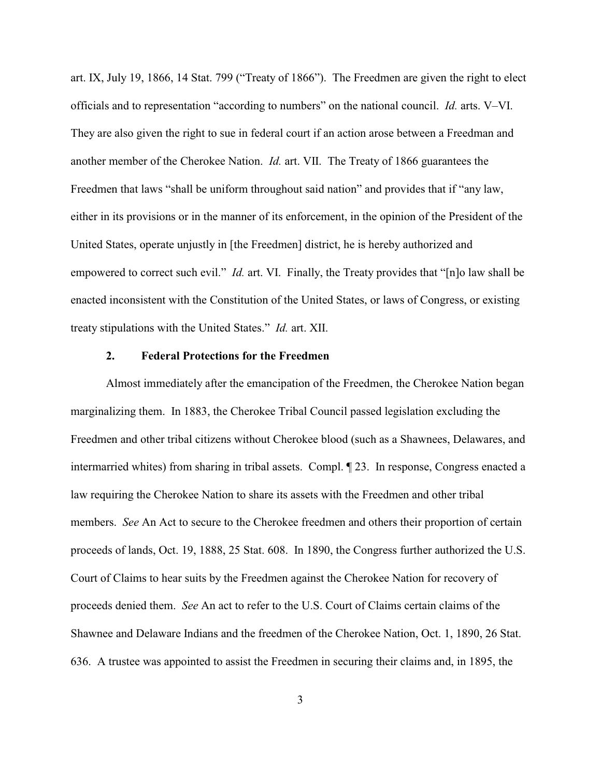art. IX, July 19, 1866, 14 Stat. 799 ("Treaty of 1866"). The Freedmen are given the right to elect officials and to representation "according to numbers" on the national council. *Id.* arts. V–VI. They are also given the right to sue in federal court if an action arose between a Freedman and another member of the Cherokee Nation. *Id.* art. VII. The Treaty of 1866 guarantees the Freedmen that laws "shall be uniform throughout said nation" and provides that if "any law, either in its provisions or in the manner of its enforcement, in the opinion of the President of the United States, operate unjustly in [the Freedmen] district, he is hereby authorized and empowered to correct such evil." *Id.* art. VI. Finally, the Treaty provides that "[n]o law shall be enacted inconsistent with the Constitution of the United States, or laws of Congress, or existing treaty stipulations with the United States." *Id.* art. XII.

## **2. Federal Protections for the Freedmen**

Almost immediately after the emancipation of the Freedmen, the Cherokee Nation began marginalizing them. In 1883, the Cherokee Tribal Council passed legislation excluding the Freedmen and other tribal citizens without Cherokee blood (such as a Shawnees, Delawares, and intermarried whites) from sharing in tribal assets. Compl. ¶ 23. In response, Congress enacted a law requiring the Cherokee Nation to share its assets with the Freedmen and other tribal members. *See* An Act to secure to the Cherokee freedmen and others their proportion of certain proceeds of lands, Oct. 19, 1888, 25 Stat. 608. In 1890, the Congress further authorized the U.S. Court of Claims to hear suits by the Freedmen against the Cherokee Nation for recovery of proceeds denied them. *See* An act to refer to the U.S. Court of Claims certain claims of the Shawnee and Delaware Indians and the freedmen of the Cherokee Nation, Oct. 1, 1890, 26 Stat. 636. A trustee was appointed to assist the Freedmen in securing their claims and, in 1895, the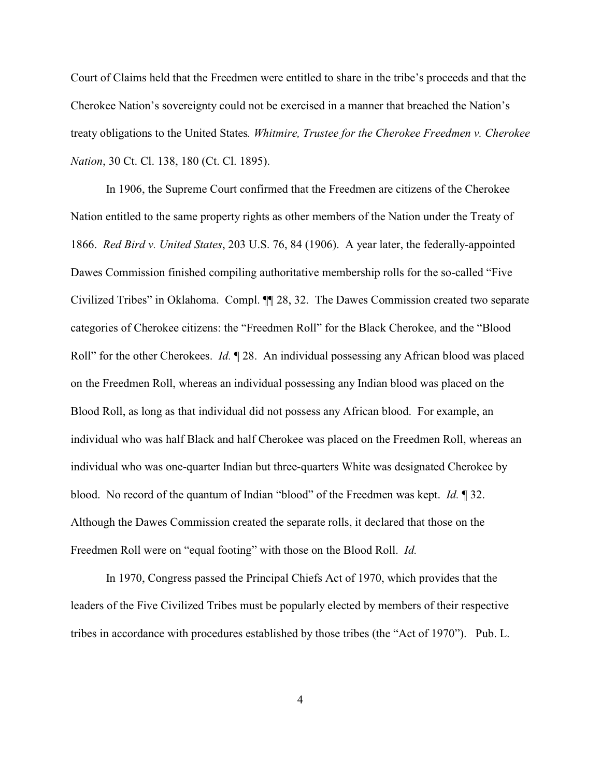Court of Claims held that the Freedmen were entitled to share in the tribe's proceeds and that the Cherokee Nation's sovereignty could not be exercised in a manner that breached the Nation's treaty obligations to the United States*. Whitmire, Trustee for the Cherokee Freedmen v. Cherokee Nation*, 30 Ct. Cl. 138, 180 (Ct. Cl. 1895).

In 1906, the Supreme Court confirmed that the Freedmen are citizens of the Cherokee Nation entitled to the same property rights as other members of the Nation under the Treaty of 1866. *Red Bird v. United States*, 203 U.S. 76, 84 (1906). A year later, the federally-appointed Dawes Commission finished compiling authoritative membership rolls for the so-called "Five Civilized Tribes" in Oklahoma. Compl. ¶¶ 28, 32. The Dawes Commission created two separate categories of Cherokee citizens: the "Freedmen Roll" for the Black Cherokee, and the "Blood Roll" for the other Cherokees. *Id.*  $\llbracket 28$ . An individual possessing any African blood was placed on the Freedmen Roll, whereas an individual possessing any Indian blood was placed on the Blood Roll, as long as that individual did not possess any African blood. For example, an individual who was half Black and half Cherokee was placed on the Freedmen Roll, whereas an individual who was one-quarter Indian but three-quarters White was designated Cherokee by blood. No record of the quantum of Indian "blood" of the Freedmen was kept. *Id.* ¶ 32. Although the Dawes Commission created the separate rolls, it declared that those on the Freedmen Roll were on "equal footing" with those on the Blood Roll. *Id.*

In 1970, Congress passed the Principal Chiefs Act of 1970, which provides that the leaders of the Five Civilized Tribes must be popularly elected by members of their respective tribes in accordance with procedures established by those tribes (the "Act of 1970"). Pub. L.

4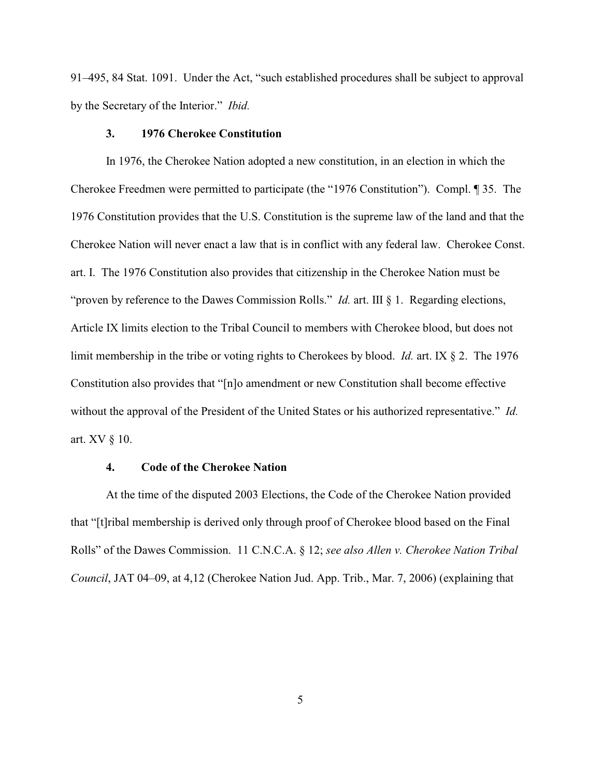91–495, 84 Stat. 1091. Under the Act, "such established procedures shall be subject to approval by the Secretary of the Interior." *Ibid.*

#### **3. 1976 Cherokee Constitution**

In 1976, the Cherokee Nation adopted a new constitution, in an election in which the Cherokee Freedmen were permitted to participate (the "1976 Constitution"). Compl. ¶ 35. The 1976 Constitution provides that the U.S. Constitution is the supreme law of the land and that the Cherokee Nation will never enact a law that is in conflict with any federal law. Cherokee Const. art. I. The 1976 Constitution also provides that citizenship in the Cherokee Nation must be "proven by reference to the Dawes Commission Rolls." *Id.* art. III § 1. Regarding elections, Article IX limits election to the Tribal Council to members with Cherokee blood, but does not limit membership in the tribe or voting rights to Cherokees by blood. *Id.* art. IX § 2. The 1976 Constitution also provides that "[n]o amendment or new Constitution shall become effective without the approval of the President of the United States or his authorized representative." *Id.* art. XV § 10.

## **4. Code of the Cherokee Nation**

At the time of the disputed 2003 Elections, the Code of the Cherokee Nation provided that "[t]ribal membership is derived only through proof of Cherokee blood based on the Final Rolls" of the Dawes Commission. 11 C.N.C.A. § 12; *see also Allen v. Cherokee Nation Tribal Council*, JAT 04–09, at 4,12 (Cherokee Nation Jud. App. Trib., Mar. 7, 2006) (explaining that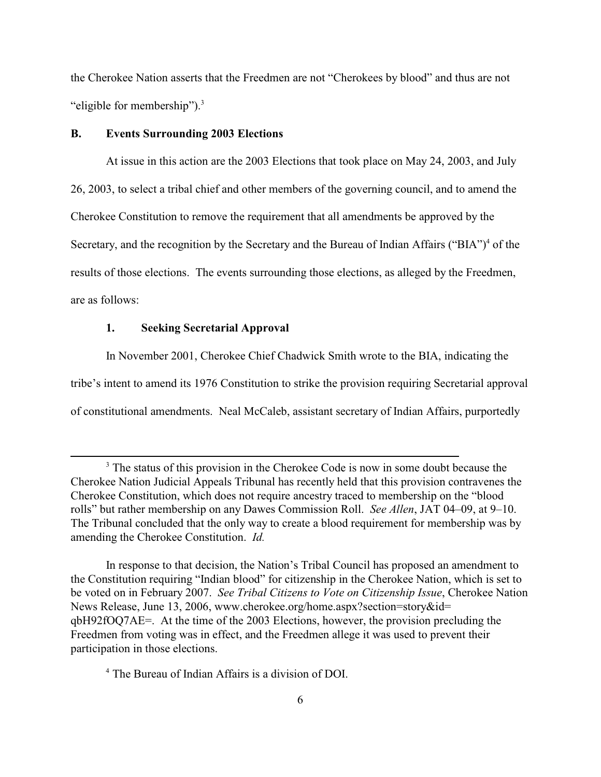the Cherokee Nation asserts that the Freedmen are not "Cherokees by blood" and thus are not "eligible for membership").<sup>3</sup>

#### **B. Events Surrounding 2003 Elections**

At issue in this action are the 2003 Elections that took place on May 24, 2003, and July 26, 2003, to select a tribal chief and other members of the governing council, and to amend the Cherokee Constitution to remove the requirement that all amendments be approved by the Secretary, and the recognition by the Secretary and the Bureau of Indian Affairs ("BIA")<sup>4</sup> of the results of those elections. The events surrounding those elections, as alleged by the Freedmen, are as follows:

### **1. Seeking Secretarial Approval**

In November 2001, Cherokee Chief Chadwick Smith wrote to the BIA, indicating the tribe's intent to amend its 1976 Constitution to strike the provision requiring Secretarial approval of constitutional amendments. Neal McCaleb, assistant secretary of Indian Affairs, purportedly

In response to that decision, the Nation's Tribal Council has proposed an amendment to the Constitution requiring "Indian blood" for citizenship in the Cherokee Nation, which is set to be voted on in February 2007. *See Tribal Citizens to Vote on Citizenship Issue*, Cherokee Nation News Release, June 13, 2006, www.cherokee.org/home.aspx?section=story&id= qbH92fOQ7AE=. At the time of the 2003 Elections, however, the provision precluding the Freedmen from voting was in effect, and the Freedmen allege it was used to prevent their participation in those elections.

<sup>4</sup> The Bureau of Indian Affairs is a division of DOI.

<sup>&</sup>lt;sup>3</sup> The status of this provision in the Cherokee Code is now in some doubt because the Cherokee Nation Judicial Appeals Tribunal has recently held that this provision contravenes the Cherokee Constitution, which does not require ancestry traced to membership on the "blood rolls" but rather membership on any Dawes Commission Roll. *See Allen*, JAT 04–09, at 9–10. The Tribunal concluded that the only way to create a blood requirement for membership was by amending the Cherokee Constitution. *Id.*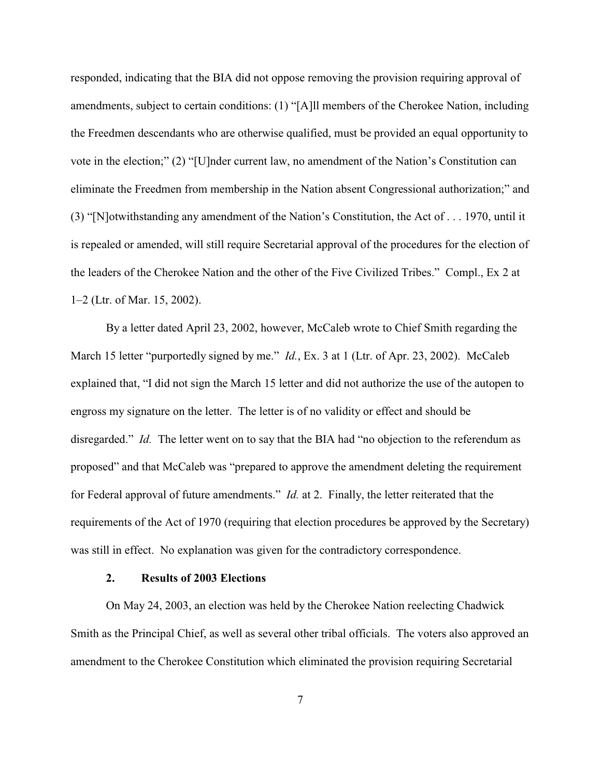responded, indicating that the BIA did not oppose removing the provision requiring approval of amendments, subject to certain conditions: (1) "[A]ll members of the Cherokee Nation, including the Freedmen descendants who are otherwise qualified, must be provided an equal opportunity to vote in the election;" (2) "[U]nder current law, no amendment of the Nation's Constitution can eliminate the Freedmen from membership in the Nation absent Congressional authorization;" and (3) "[N]otwithstanding any amendment of the Nation's Constitution, the Act of . . . 1970, until it is repealed or amended, will still require Secretarial approval of the procedures for the election of the leaders of the Cherokee Nation and the other of the Five Civilized Tribes." Compl., Ex 2 at 1–2 (Ltr. of Mar. 15, 2002).

By a letter dated April 23, 2002, however, McCaleb wrote to Chief Smith regarding the March 15 letter "purportedly signed by me." *Id.*, Ex. 3 at 1 (Ltr. of Apr. 23, 2002). McCaleb explained that, "I did not sign the March 15 letter and did not authorize the use of the autopen to engross my signature on the letter. The letter is of no validity or effect and should be disregarded." *Id.* The letter went on to say that the BIA had "no objection to the referendum as proposed" and that McCaleb was "prepared to approve the amendment deleting the requirement for Federal approval of future amendments." *Id.* at 2. Finally, the letter reiterated that the requirements of the Act of 1970 (requiring that election procedures be approved by the Secretary) was still in effect. No explanation was given for the contradictory correspondence.

### **2. Results of 2003 Elections**

On May 24, 2003, an election was held by the Cherokee Nation reelecting Chadwick Smith as the Principal Chief, as well as several other tribal officials. The voters also approved an amendment to the Cherokee Constitution which eliminated the provision requiring Secretarial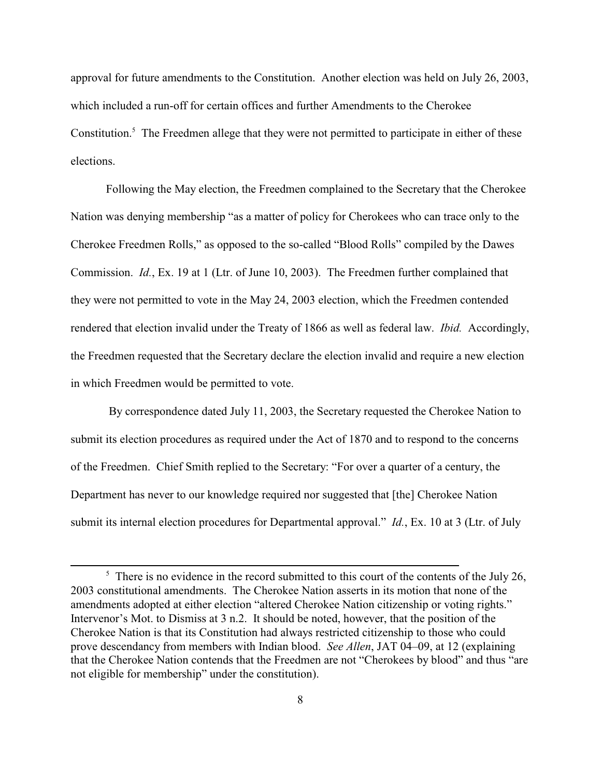approval for future amendments to the Constitution. Another election was held on July 26, 2003, which included a run-off for certain offices and further Amendments to the Cherokee Constitution.<sup>5</sup> The Freedmen allege that they were not permitted to participate in either of these elections.

Following the May election, the Freedmen complained to the Secretary that the Cherokee Nation was denying membership "as a matter of policy for Cherokees who can trace only to the Cherokee Freedmen Rolls," as opposed to the so-called "Blood Rolls" compiled by the Dawes Commission. *Id.*, Ex. 19 at 1 (Ltr. of June 10, 2003). The Freedmen further complained that they were not permitted to vote in the May 24, 2003 election, which the Freedmen contended rendered that election invalid under the Treaty of 1866 as well as federal law. *Ibid.* Accordingly, the Freedmen requested that the Secretary declare the election invalid and require a new election in which Freedmen would be permitted to vote.

 By correspondence dated July 11, 2003, the Secretary requested the Cherokee Nation to submit its election procedures as required under the Act of 1870 and to respond to the concerns of the Freedmen. Chief Smith replied to the Secretary: "For over a quarter of a century, the Department has never to our knowledge required nor suggested that [the] Cherokee Nation submit its internal election procedures for Departmental approval." *Id.*, Ex. 10 at 3 (Ltr. of July

 $\frac{1}{2}$ . There is no evidence in the record submitted to this court of the contents of the July 26, 2003 constitutional amendments. The Cherokee Nation asserts in its motion that none of the amendments adopted at either election "altered Cherokee Nation citizenship or voting rights." Intervenor's Mot. to Dismiss at 3 n.2. It should be noted, however, that the position of the Cherokee Nation is that its Constitution had always restricted citizenship to those who could prove descendancy from members with Indian blood. *See Allen*, JAT 04–09, at 12 (explaining that the Cherokee Nation contends that the Freedmen are not "Cherokees by blood" and thus "are not eligible for membership" under the constitution).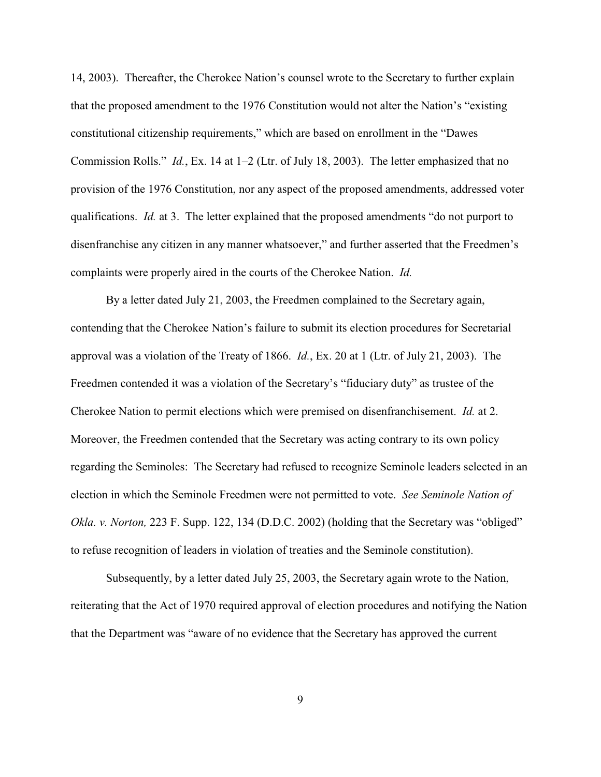14, 2003). Thereafter, the Cherokee Nation's counsel wrote to the Secretary to further explain that the proposed amendment to the 1976 Constitution would not alter the Nation's "existing constitutional citizenship requirements," which are based on enrollment in the "Dawes Commission Rolls." *Id.*, Ex. 14 at 1–2 (Ltr. of July 18, 2003). The letter emphasized that no provision of the 1976 Constitution, nor any aspect of the proposed amendments, addressed voter qualifications. *Id.* at 3. The letter explained that the proposed amendments "do not purport to disenfranchise any citizen in any manner whatsoever," and further asserted that the Freedmen's complaints were properly aired in the courts of the Cherokee Nation. *Id.*

By a letter dated July 21, 2003, the Freedmen complained to the Secretary again, contending that the Cherokee Nation's failure to submit its election procedures for Secretarial approval was a violation of the Treaty of 1866. *Id.*, Ex. 20 at 1 (Ltr. of July 21, 2003). The Freedmen contended it was a violation of the Secretary's "fiduciary duty" as trustee of the Cherokee Nation to permit elections which were premised on disenfranchisement. *Id.* at 2. Moreover, the Freedmen contended that the Secretary was acting contrary to its own policy regarding the Seminoles: The Secretary had refused to recognize Seminole leaders selected in an election in which the Seminole Freedmen were not permitted to vote. *See Seminole Nation of Okla. v. Norton,* 223 F. Supp. 122, 134 (D.D.C. 2002) (holding that the Secretary was "obliged" to refuse recognition of leaders in violation of treaties and the Seminole constitution).

Subsequently, by a letter dated July 25, 2003, the Secretary again wrote to the Nation, reiterating that the Act of 1970 required approval of election procedures and notifying the Nation that the Department was "aware of no evidence that the Secretary has approved the current

9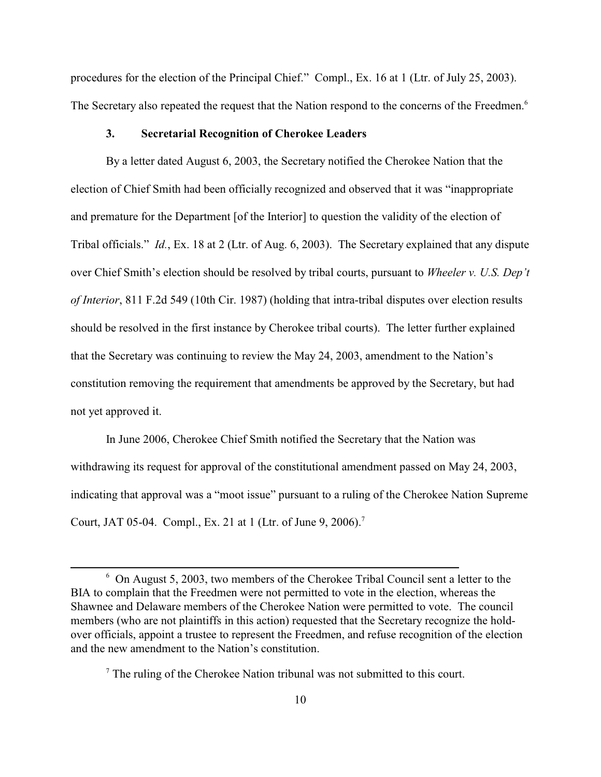procedures for the election of the Principal Chief." Compl., Ex. 16 at 1 (Ltr. of July 25, 2003). The Secretary also repeated the request that the Nation respond to the concerns of the Freedmen.<sup>6</sup>

### **3. Secretarial Recognition of Cherokee Leaders**

By a letter dated August 6, 2003, the Secretary notified the Cherokee Nation that the election of Chief Smith had been officially recognized and observed that it was "inappropriate and premature for the Department [of the Interior] to question the validity of the election of Tribal officials." *Id.*, Ex. 18 at 2 (Ltr. of Aug. 6, 2003). The Secretary explained that any dispute over Chief Smith's election should be resolved by tribal courts, pursuant to *Wheeler v. U.S. Dep't of Interior*, 811 F.2d 549 (10th Cir. 1987) (holding that intra-tribal disputes over election results should be resolved in the first instance by Cherokee tribal courts). The letter further explained that the Secretary was continuing to review the May 24, 2003, amendment to the Nation's constitution removing the requirement that amendments be approved by the Secretary, but had not yet approved it.

In June 2006, Cherokee Chief Smith notified the Secretary that the Nation was withdrawing its request for approval of the constitutional amendment passed on May 24, 2003, indicating that approval was a "moot issue" pursuant to a ruling of the Cherokee Nation Supreme Court, JAT 05-04. Compl., Ex. 21 at 1 (Ltr. of June 9, 2006).<sup>7</sup>

 $6$  On August 5, 2003, two members of the Cherokee Tribal Council sent a letter to the BIA to complain that the Freedmen were not permitted to vote in the election, whereas the Shawnee and Delaware members of the Cherokee Nation were permitted to vote. The council members (who are not plaintiffs in this action) requested that the Secretary recognize the holdover officials, appoint a trustee to represent the Freedmen, and refuse recognition of the election and the new amendment to the Nation's constitution.

 $7$  The ruling of the Cherokee Nation tribunal was not submitted to this court.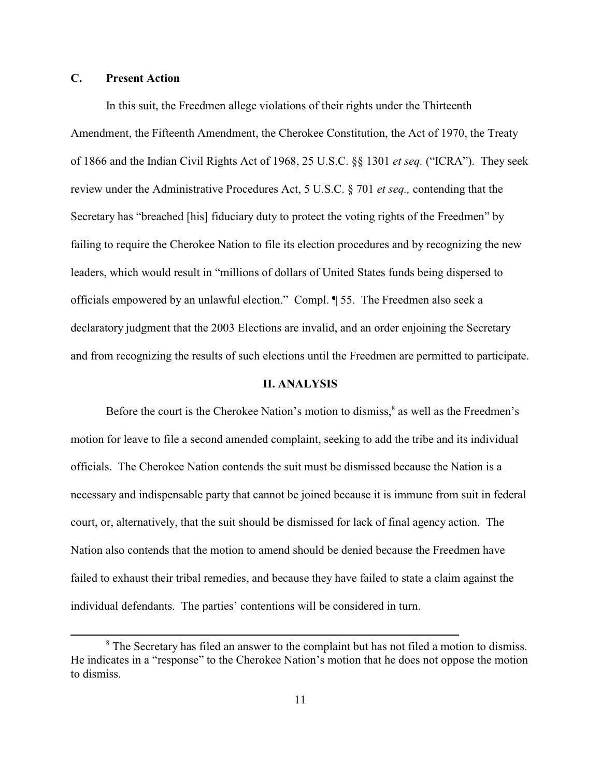# **C. Present Action**

In this suit, the Freedmen allege violations of their rights under the Thirteenth Amendment, the Fifteenth Amendment, the Cherokee Constitution, the Act of 1970, the Treaty of 1866 and the Indian Civil Rights Act of 1968, 25 U.S.C. §§ 1301 *et seq.* ("ICRA"). They seek review under the Administrative Procedures Act, 5 U.S.C. § 701 *et seq.,* contending that the Secretary has "breached [his] fiduciary duty to protect the voting rights of the Freedmen" by failing to require the Cherokee Nation to file its election procedures and by recognizing the new leaders, which would result in "millions of dollars of United States funds being dispersed to officials empowered by an unlawful election." Compl. ¶ 55. The Freedmen also seek a declaratory judgment that the 2003 Elections are invalid, and an order enjoining the Secretary and from recognizing the results of such elections until the Freedmen are permitted to participate.

### **II. ANALYSIS**

Before the court is the Cherokee Nation's motion to dismiss, $\delta$  as well as the Freedmen's motion for leave to file a second amended complaint, seeking to add the tribe and its individual officials. The Cherokee Nation contends the suit must be dismissed because the Nation is a necessary and indispensable party that cannot be joined because it is immune from suit in federal court, or, alternatively, that the suit should be dismissed for lack of final agency action. The Nation also contends that the motion to amend should be denied because the Freedmen have failed to exhaust their tribal remedies, and because they have failed to state a claim against the individual defendants. The parties' contentions will be considered in turn.

<sup>&</sup>lt;sup>8</sup> The Secretary has filed an answer to the complaint but has not filed a motion to dismiss. He indicates in a "response" to the Cherokee Nation's motion that he does not oppose the motion to dismiss.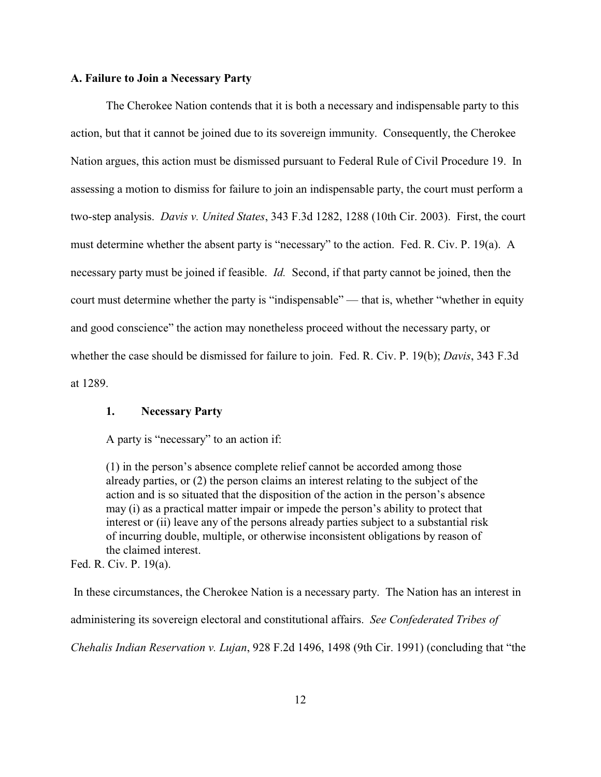### **A. Failure to Join a Necessary Party**

The Cherokee Nation contends that it is both a necessary and indispensable party to this action, but that it cannot be joined due to its sovereign immunity. Consequently, the Cherokee Nation argues, this action must be dismissed pursuant to Federal Rule of Civil Procedure 19. In assessing a motion to dismiss for failure to join an indispensable party, the court must perform a two-step analysis. *Davis v. United States*, 343 F.3d 1282, 1288 (10th Cir. 2003). First, the court must determine whether the absent party is "necessary" to the action. Fed. R. Civ. P. 19(a). A necessary party must be joined if feasible. *Id.* Second, if that party cannot be joined, then the court must determine whether the party is "indispensable" — that is, whether "whether in equity and good conscience" the action may nonetheless proceed without the necessary party, or whether the case should be dismissed for failure to join. Fed. R. Civ. P. 19(b); *Davis*, 343 F.3d at 1289.

### **1. Necessary Party**

A party is "necessary" to an action if:

(1) in the person's absence complete relief cannot be accorded among those already parties, or (2) the person claims an interest relating to the subject of the action and is so situated that the disposition of the action in the person's absence may (i) as a practical matter impair or impede the person's ability to protect that interest or (ii) leave any of the persons already parties subject to a substantial risk of incurring double, multiple, or otherwise inconsistent obligations by reason of the claimed interest.

Fed. R. Civ. P. 19(a).

 In these circumstances, the Cherokee Nation is a necessary party. The Nation has an interest in administering its sovereign electoral and constitutional affairs. *See Confederated Tribes of Chehalis Indian Reservation v. Lujan*, 928 F.2d 1496, 1498 (9th Cir. 1991) (concluding that "the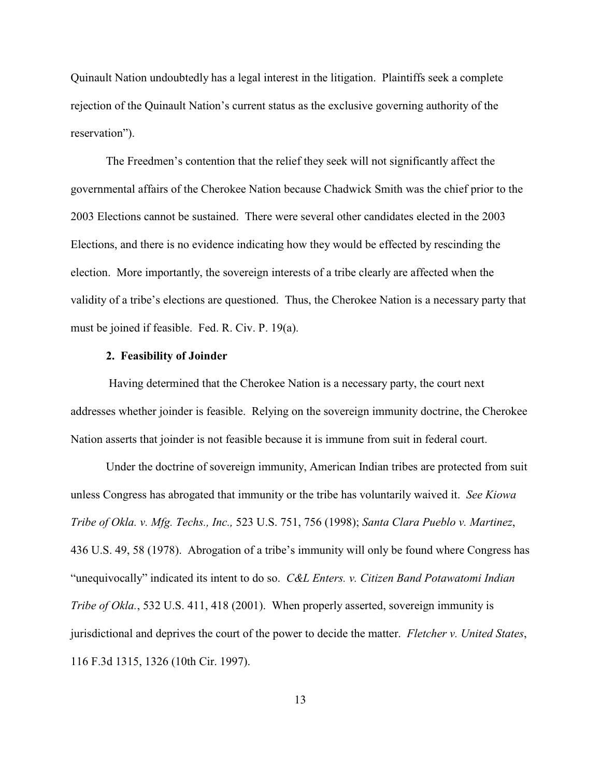Quinault Nation undoubtedly has a legal interest in the litigation. Plaintiffs seek a complete rejection of the Quinault Nation's current status as the exclusive governing authority of the reservation").

The Freedmen's contention that the relief they seek will not significantly affect the governmental affairs of the Cherokee Nation because Chadwick Smith was the chief prior to the 2003 Elections cannot be sustained. There were several other candidates elected in the 2003 Elections, and there is no evidence indicating how they would be effected by rescinding the election. More importantly, the sovereign interests of a tribe clearly are affected when the validity of a tribe's elections are questioned. Thus, the Cherokee Nation is a necessary party that must be joined if feasible. Fed. R. Civ. P. 19(a).

## **2. Feasibility of Joinder**

 Having determined that the Cherokee Nation is a necessary party, the court next addresses whether joinder is feasible. Relying on the sovereign immunity doctrine, the Cherokee Nation asserts that joinder is not feasible because it is immune from suit in federal court.

Under the doctrine of sovereign immunity, American Indian tribes are protected from suit unless Congress has abrogated that immunity or the tribe has voluntarily waived it. *See Kiowa Tribe of Okla. v. Mfg. Techs., Inc.,* 523 U.S. 751, 756 (1998); *Santa Clara Pueblo v. Martinez*, 436 U.S. 49, 58 (1978). Abrogation of a tribe's immunity will only be found where Congress has "unequivocally" indicated its intent to do so. *C&L Enters. v. Citizen Band Potawatomi Indian Tribe of Okla.*, 532 U.S. 411, 418 (2001). When properly asserted, sovereign immunity is jurisdictional and deprives the court of the power to decide the matter. *Fletcher v. United States*, 116 F.3d 1315, 1326 (10th Cir. 1997).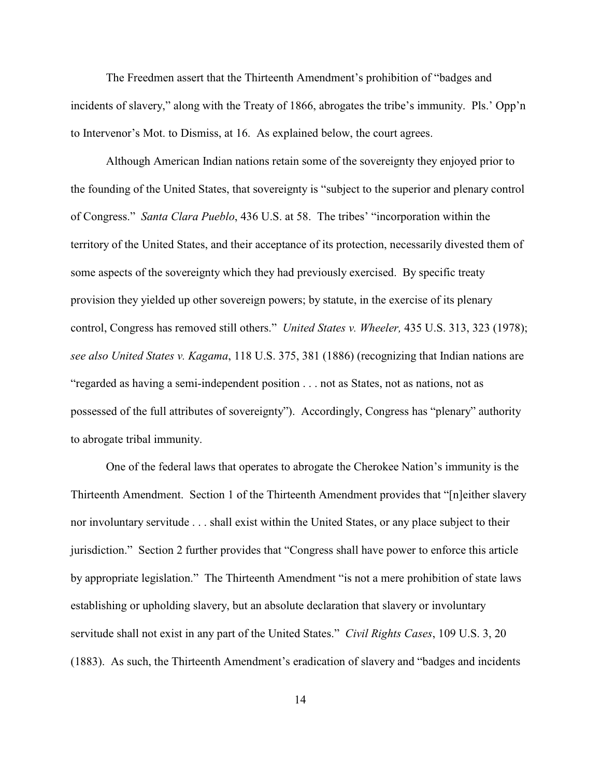The Freedmen assert that the Thirteenth Amendment's prohibition of "badges and incidents of slavery," along with the Treaty of 1866, abrogates the tribe's immunity. Pls.' Opp'n to Intervenor's Mot. to Dismiss, at 16. As explained below, the court agrees.

Although American Indian nations retain some of the sovereignty they enjoyed prior to the founding of the United States, that sovereignty is "subject to the superior and plenary control of Congress." *Santa Clara Pueblo*, 436 U.S. at 58. The tribes' "incorporation within the territory of the United States, and their acceptance of its protection, necessarily divested them of some aspects of the sovereignty which they had previously exercised. By specific treaty provision they yielded up other sovereign powers; by statute, in the exercise of its plenary control, Congress has removed still others." *United States v. Wheeler,* 435 U.S. 313, 323 (1978); *see also United States v. Kagama*, 118 U.S. 375, 381 (1886) (recognizing that Indian nations are "regarded as having a semi-independent position . . . not as States, not as nations, not as possessed of the full attributes of sovereignty"). Accordingly, Congress has "plenary" authority to abrogate tribal immunity.

One of the federal laws that operates to abrogate the Cherokee Nation's immunity is the Thirteenth Amendment. Section 1 of the Thirteenth Amendment provides that "[n]either slavery nor involuntary servitude . . . shall exist within the United States, or any place subject to their jurisdiction." Section 2 further provides that "Congress shall have power to enforce this article by appropriate legislation." The Thirteenth Amendment "is not a mere prohibition of state laws establishing or upholding slavery, but an absolute declaration that slavery or involuntary servitude shall not exist in any part of the United States." *Civil Rights Cases*, 109 U.S. 3, 20 (1883). As such, the Thirteenth Amendment's eradication of slavery and "badges and incidents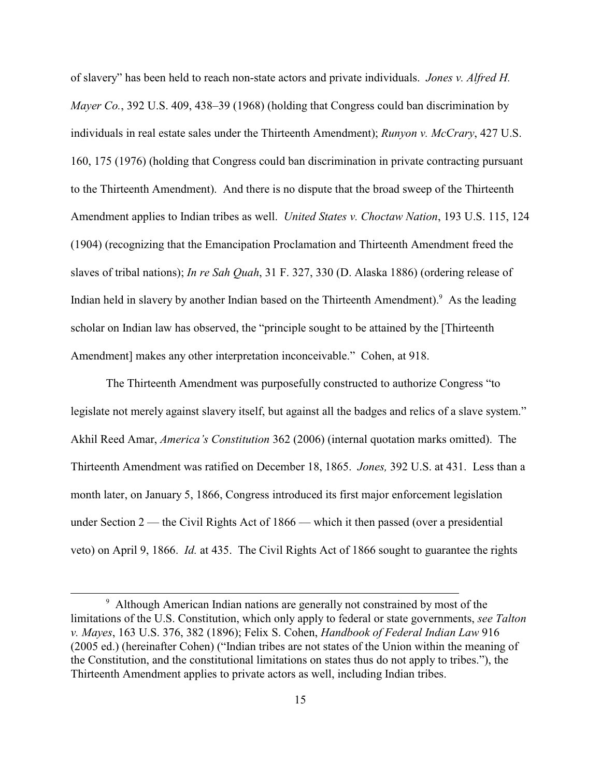of slavery" has been held to reach non-state actors and private individuals. *Jones v. Alfred H. Mayer Co.*, 392 U.S. 409, 438–39 (1968) (holding that Congress could ban discrimination by individuals in real estate sales under the Thirteenth Amendment); *Runyon v. McCrary*, 427 U.S. 160, 175 (1976) (holding that Congress could ban discrimination in private contracting pursuant to the Thirteenth Amendment). And there is no dispute that the broad sweep of the Thirteenth Amendment applies to Indian tribes as well. *United States v. Choctaw Nation*, 193 U.S. 115, 124 (1904) (recognizing that the Emancipation Proclamation and Thirteenth Amendment freed the slaves of tribal nations); *In re Sah Quah*, 31 F. 327, 330 (D. Alaska 1886) (ordering release of Indian held in slavery by another Indian based on the Thirteenth Amendment).<sup>9</sup> As the leading scholar on Indian law has observed, the "principle sought to be attained by the [Thirteenth Amendment] makes any other interpretation inconceivable." Cohen, at 918.

The Thirteenth Amendment was purposefully constructed to authorize Congress "to legislate not merely against slavery itself, but against all the badges and relics of a slave system." Akhil Reed Amar, *America's Constitution* 362 (2006) (internal quotation marks omitted). The Thirteenth Amendment was ratified on December 18, 1865. *Jones,* 392 U.S. at 431. Less than a month later, on January 5, 1866, Congress introduced its first major enforcement legislation under Section  $2$  — the Civil Rights Act of 1866 — which it then passed (over a presidential veto) on April 9, 1866. *Id.* at 435. The Civil Rights Act of 1866 sought to guarantee the rights

<sup>&</sup>lt;sup>9</sup> Although American Indian nations are generally not constrained by most of the limitations of the U.S. Constitution, which only apply to federal or state governments, *see Talton v. Mayes*, 163 U.S. 376, 382 (1896); Felix S. Cohen, *Handbook of Federal Indian Law* 916 (2005 ed.) (hereinafter Cohen) ("Indian tribes are not states of the Union within the meaning of the Constitution, and the constitutional limitations on states thus do not apply to tribes."), the Thirteenth Amendment applies to private actors as well, including Indian tribes.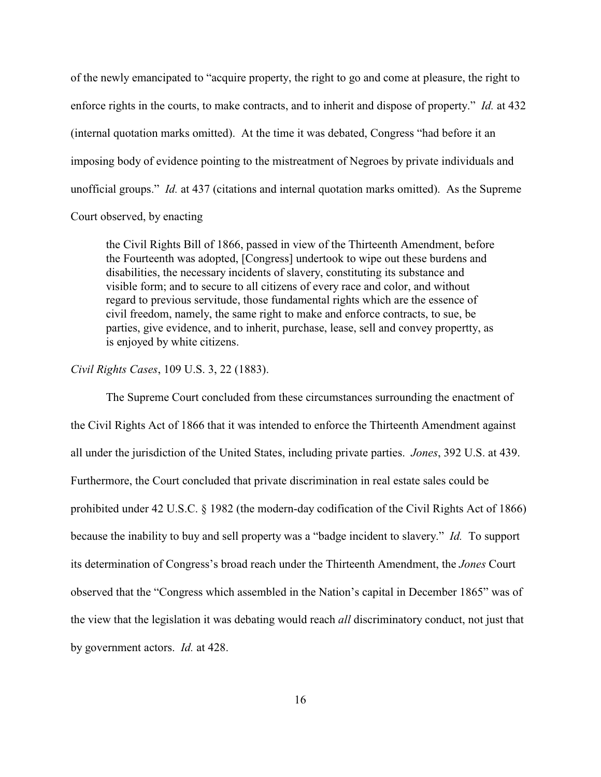of the newly emancipated to "acquire property, the right to go and come at pleasure, the right to enforce rights in the courts, to make contracts, and to inherit and dispose of property." *Id.* at 432 (internal quotation marks omitted). At the time it was debated, Congress "had before it an imposing body of evidence pointing to the mistreatment of Negroes by private individuals and unofficial groups." *Id.* at 437 (citations and internal quotation marks omitted). As the Supreme

Court observed, by enacting

the Civil Rights Bill of 1866, passed in view of the Thirteenth Amendment, before the Fourteenth was adopted, [Congress] undertook to wipe out these burdens and disabilities, the necessary incidents of slavery, constituting its substance and visible form; and to secure to all citizens of every race and color, and without regard to previous servitude, those fundamental rights which are the essence of civil freedom, namely, the same right to make and enforce contracts, to sue, be parties, give evidence, and to inherit, purchase, lease, sell and convey propertty, as is enjoyed by white citizens.

## *Civil Rights Cases*, 109 U.S. 3, 22 (1883).

The Supreme Court concluded from these circumstances surrounding the enactment of the Civil Rights Act of 1866 that it was intended to enforce the Thirteenth Amendment against all under the jurisdiction of the United States, including private parties. *Jones*, 392 U.S. at 439. Furthermore, the Court concluded that private discrimination in real estate sales could be prohibited under 42 U.S.C. § 1982 (the modern-day codification of the Civil Rights Act of 1866) because the inability to buy and sell property was a "badge incident to slavery." *Id.* To support its determination of Congress's broad reach under the Thirteenth Amendment, the *Jones* Court observed that the "Congress which assembled in the Nation's capital in December 1865" was of the view that the legislation it was debating would reach *all* discriminatory conduct, not just that by government actors. *Id.* at 428.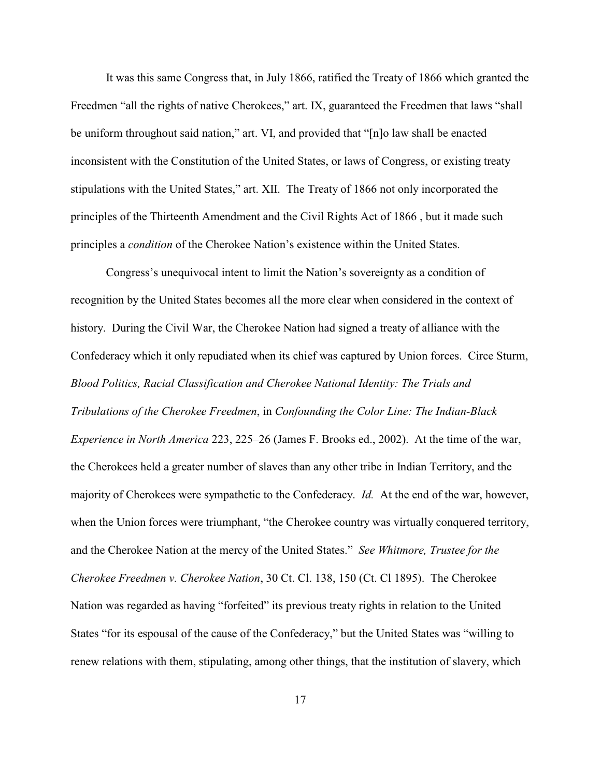It was this same Congress that, in July 1866, ratified the Treaty of 1866 which granted the Freedmen "all the rights of native Cherokees," art. IX, guaranteed the Freedmen that laws "shall be uniform throughout said nation," art. VI, and provided that "[n]o law shall be enacted inconsistent with the Constitution of the United States, or laws of Congress, or existing treaty stipulations with the United States," art. XII. The Treaty of 1866 not only incorporated the principles of the Thirteenth Amendment and the Civil Rights Act of 1866 , but it made such principles a *condition* of the Cherokee Nation's existence within the United States.

Congress's unequivocal intent to limit the Nation's sovereignty as a condition of recognition by the United States becomes all the more clear when considered in the context of history. During the Civil War, the Cherokee Nation had signed a treaty of alliance with the Confederacy which it only repudiated when its chief was captured by Union forces. Circe Sturm, *Blood Politics, Racial Classification and Cherokee National Identity: The Trials and Tribulations of the Cherokee Freedmen*, in *Confounding the Color Line: The Indian-Black Experience in North America* 223, 225–26 (James F. Brooks ed., 2002). At the time of the war, the Cherokees held a greater number of slaves than any other tribe in Indian Territory, and the majority of Cherokees were sympathetic to the Confederacy. *Id.* At the end of the war, however, when the Union forces were triumphant, "the Cherokee country was virtually conquered territory, and the Cherokee Nation at the mercy of the United States." *See Whitmore, Trustee for the Cherokee Freedmen v. Cherokee Nation*, 30 Ct. Cl. 138, 150 (Ct. Cl 1895). The Cherokee Nation was regarded as having "forfeited" its previous treaty rights in relation to the United States "for its espousal of the cause of the Confederacy," but the United States was "willing to renew relations with them, stipulating, among other things, that the institution of slavery, which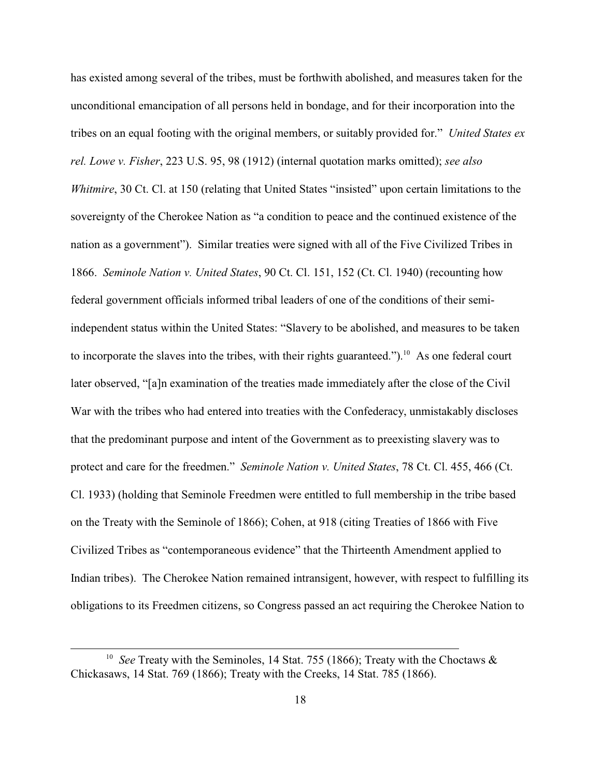has existed among several of the tribes, must be forthwith abolished, and measures taken for the unconditional emancipation of all persons held in bondage, and for their incorporation into the tribes on an equal footing with the original members, or suitably provided for." *United States ex rel. Lowe v. Fisher*, 223 U.S. 95, 98 (1912) (internal quotation marks omitted); *see also Whitmire*, 30 Ct. Cl. at 150 (relating that United States "insisted" upon certain limitations to the sovereignty of the Cherokee Nation as "a condition to peace and the continued existence of the nation as a government"). Similar treaties were signed with all of the Five Civilized Tribes in 1866. *Seminole Nation v. United States*, 90 Ct. Cl. 151, 152 (Ct. Cl. 1940) (recounting how federal government officials informed tribal leaders of one of the conditions of their semiindependent status within the United States: "Slavery to be abolished, and measures to be taken to incorporate the slaves into the tribes, with their rights guaranteed.").<sup>10</sup> As one federal court later observed, "[a]n examination of the treaties made immediately after the close of the Civil War with the tribes who had entered into treaties with the Confederacy, unmistakably discloses that the predominant purpose and intent of the Government as to preexisting slavery was to protect and care for the freedmen." *Seminole Nation v. United States*, 78 Ct. Cl. 455, 466 (Ct. Cl. 1933) (holding that Seminole Freedmen were entitled to full membership in the tribe based on the Treaty with the Seminole of 1866); Cohen, at 918 (citing Treaties of 1866 with Five Civilized Tribes as "contemporaneous evidence" that the Thirteenth Amendment applied to Indian tribes). The Cherokee Nation remained intransigent, however, with respect to fulfilling its obligations to its Freedmen citizens, so Congress passed an act requiring the Cherokee Nation to

<sup>&</sup>lt;sup>10</sup> See Treaty with the Seminoles, 14 Stat. 755 (1866); Treaty with the Choctaws  $\&$ Chickasaws, 14 Stat. 769 (1866); Treaty with the Creeks, 14 Stat. 785 (1866).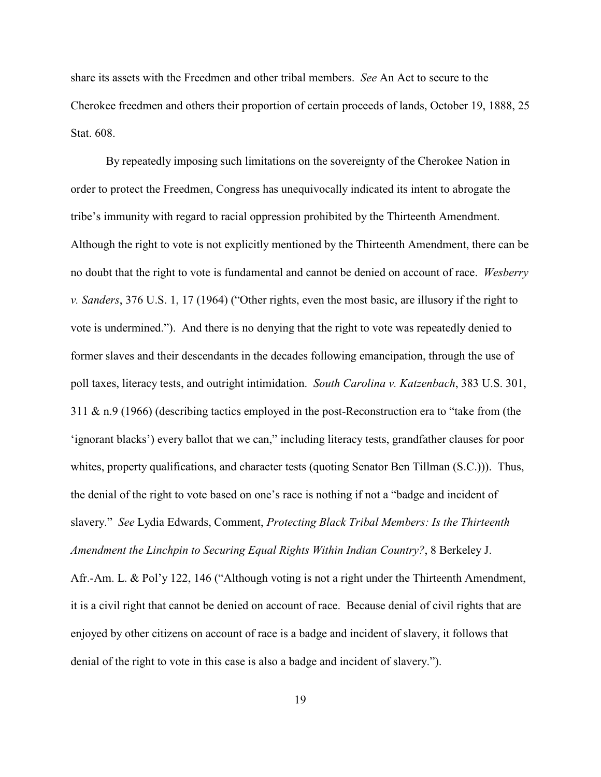share its assets with the Freedmen and other tribal members. *See* An Act to secure to the Cherokee freedmen and others their proportion of certain proceeds of lands, October 19, 1888, 25 Stat. 608.

By repeatedly imposing such limitations on the sovereignty of the Cherokee Nation in order to protect the Freedmen, Congress has unequivocally indicated its intent to abrogate the tribe's immunity with regard to racial oppression prohibited by the Thirteenth Amendment. Although the right to vote is not explicitly mentioned by the Thirteenth Amendment, there can be no doubt that the right to vote is fundamental and cannot be denied on account of race. *Wesberry v. Sanders*, 376 U.S. 1, 17 (1964) ("Other rights, even the most basic, are illusory if the right to vote is undermined."). And there is no denying that the right to vote was repeatedly denied to former slaves and their descendants in the decades following emancipation, through the use of poll taxes, literacy tests, and outright intimidation. *South Carolina v. Katzenbach*, 383 U.S. 301, 311 & n.9 (1966) (describing tactics employed in the post-Reconstruction era to "take from (the 'ignorant blacks') every ballot that we can," including literacy tests, grandfather clauses for poor whites, property qualifications, and character tests (quoting Senator Ben Tillman (S.C.))). Thus, the denial of the right to vote based on one's race is nothing if not a "badge and incident of slavery." *See* Lydia Edwards, Comment, *Protecting Black Tribal Members: Is the Thirteenth Amendment the Linchpin to Securing Equal Rights Within Indian Country?*, 8 Berkeley J.

Afr.-Am. L. & Pol'y 122, 146 ("Although voting is not a right under the Thirteenth Amendment, it is a civil right that cannot be denied on account of race. Because denial of civil rights that are enjoyed by other citizens on account of race is a badge and incident of slavery, it follows that denial of the right to vote in this case is also a badge and incident of slavery.").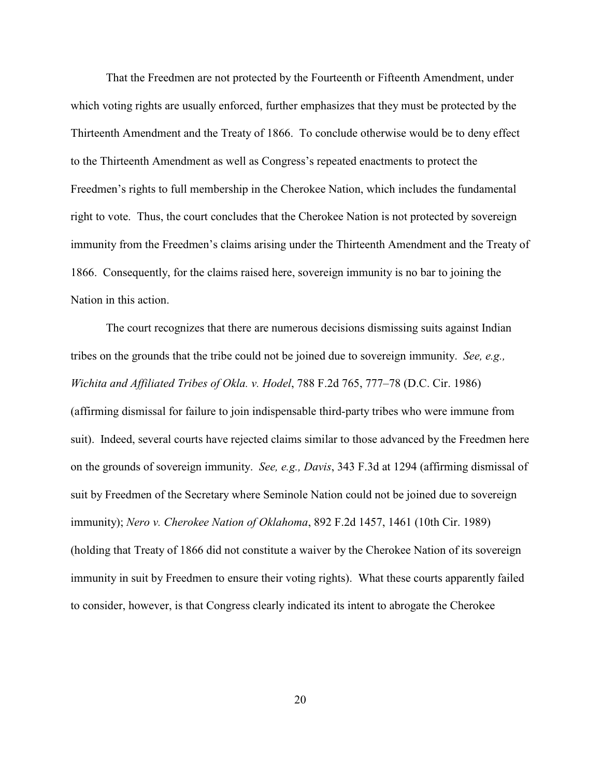That the Freedmen are not protected by the Fourteenth or Fifteenth Amendment, under which voting rights are usually enforced, further emphasizes that they must be protected by the Thirteenth Amendment and the Treaty of 1866. To conclude otherwise would be to deny effect to the Thirteenth Amendment as well as Congress's repeated enactments to protect the Freedmen's rights to full membership in the Cherokee Nation, which includes the fundamental right to vote. Thus, the court concludes that the Cherokee Nation is not protected by sovereign immunity from the Freedmen's claims arising under the Thirteenth Amendment and the Treaty of 1866. Consequently, for the claims raised here, sovereign immunity is no bar to joining the Nation in this action.

The court recognizes that there are numerous decisions dismissing suits against Indian tribes on the grounds that the tribe could not be joined due to sovereign immunity. *See, e.g., Wichita and Affiliated Tribes of Okla. v. Hodel*, 788 F.2d 765, 777–78 (D.C. Cir. 1986) (affirming dismissal for failure to join indispensable third-party tribes who were immune from suit). Indeed, several courts have rejected claims similar to those advanced by the Freedmen here on the grounds of sovereign immunity. *See, e.g., Davis*, 343 F.3d at 1294 (affirming dismissal of suit by Freedmen of the Secretary where Seminole Nation could not be joined due to sovereign immunity); *Nero v. Cherokee Nation of Oklahoma*, 892 F.2d 1457, 1461 (10th Cir. 1989) (holding that Treaty of 1866 did not constitute a waiver by the Cherokee Nation of its sovereign immunity in suit by Freedmen to ensure their voting rights). What these courts apparently failed to consider, however, is that Congress clearly indicated its intent to abrogate the Cherokee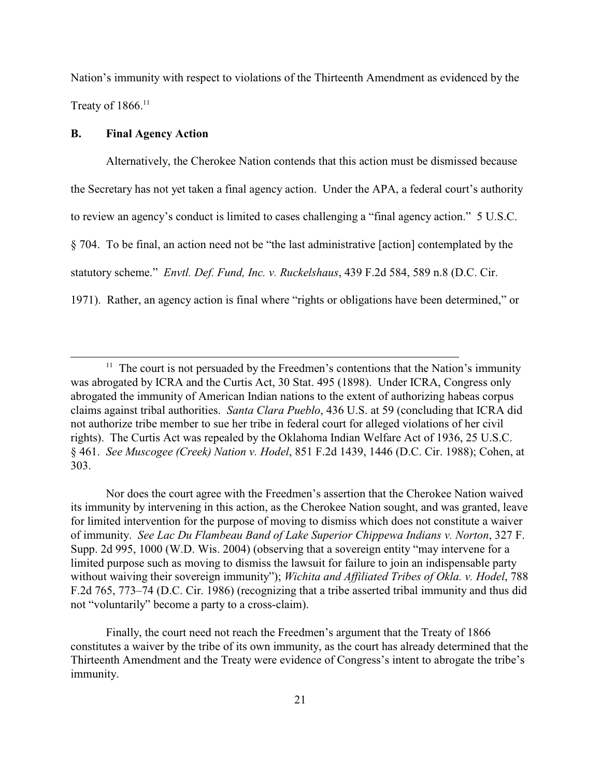Nation's immunity with respect to violations of the Thirteenth Amendment as evidenced by the Treaty of  $1866$ <sup>11</sup>

### **B. Final Agency Action**

Alternatively, the Cherokee Nation contends that this action must be dismissed because the Secretary has not yet taken a final agency action. Under the APA, a federal court's authority to review an agency's conduct is limited to cases challenging a "final agency action." 5 U.S.C. § 704. To be final, an action need not be "the last administrative [action] contemplated by the statutory scheme." *Envtl. Def. Fund, Inc. v. Ruckelshaus*, 439 F.2d 584, 589 n.8 (D.C. Cir. 1971). Rather, an agency action is final where "rights or obligations have been determined," or

Nor does the court agree with the Freedmen's assertion that the Cherokee Nation waived its immunity by intervening in this action, as the Cherokee Nation sought, and was granted, leave for limited intervention for the purpose of moving to dismiss which does not constitute a waiver of immunity. *See Lac Du Flambeau Band of Lake Superior Chippewa Indians v. Norton*, 327 F. Supp. 2d 995, 1000 (W.D. Wis. 2004) (observing that a sovereign entity "may intervene for a limited purpose such as moving to dismiss the lawsuit for failure to join an indispensable party without waiving their sovereign immunity"); *Wichita and Affiliated Tribes of Okla. v. Hodel*, 788 F.2d 765, 773–74 (D.C. Cir. 1986) (recognizing that a tribe asserted tribal immunity and thus did not "voluntarily" become a party to a cross-claim).

Finally, the court need not reach the Freedmen's argument that the Treaty of 1866 constitutes a waiver by the tribe of its own immunity, as the court has already determined that the Thirteenth Amendment and the Treaty were evidence of Congress's intent to abrogate the tribe's immunity.

 $11$  The court is not persuaded by the Freedmen's contentions that the Nation's immunity was abrogated by ICRA and the Curtis Act, 30 Stat. 495 (1898). Under ICRA, Congress only abrogated the immunity of American Indian nations to the extent of authorizing habeas corpus claims against tribal authorities. *Santa Clara Pueblo*, 436 U.S. at 59 (concluding that ICRA did not authorize tribe member to sue her tribe in federal court for alleged violations of her civil rights). The Curtis Act was repealed by the Oklahoma Indian Welfare Act of 1936, 25 U.S.C. § 461. *See Muscogee (Creek) Nation v. Hodel*, 851 F.2d 1439, 1446 (D.C. Cir. 1988); Cohen, at 303.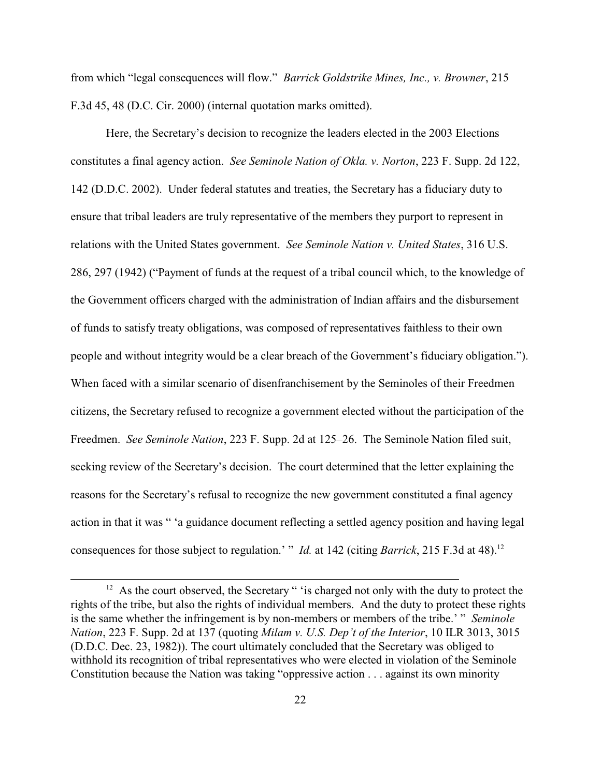from which "legal consequences will flow." *Barrick Goldstrike Mines, Inc., v. Browner*, 215 F.3d 45, 48 (D.C. Cir. 2000) (internal quotation marks omitted).

Here, the Secretary's decision to recognize the leaders elected in the 2003 Elections constitutes a final agency action. *See Seminole Nation of Okla. v. Norton*, 223 F. Supp. 2d 122, 142 (D.D.C. 2002). Under federal statutes and treaties, the Secretary has a fiduciary duty to ensure that tribal leaders are truly representative of the members they purport to represent in relations with the United States government. *See Seminole Nation v. United States*, 316 U.S. 286, 297 (1942) ("Payment of funds at the request of a tribal council which, to the knowledge of the Government officers charged with the administration of Indian affairs and the disbursement of funds to satisfy treaty obligations, was composed of representatives faithless to their own people and without integrity would be a clear breach of the Government's fiduciary obligation."). When faced with a similar scenario of disenfranchisement by the Seminoles of their Freedmen citizens, the Secretary refused to recognize a government elected without the participation of the Freedmen. *See Seminole Nation*, 223 F. Supp. 2d at 125–26. The Seminole Nation filed suit, seeking review of the Secretary's decision. The court determined that the letter explaining the reasons for the Secretary's refusal to recognize the new government constituted a final agency action in that it was " 'a guidance document reflecting a settled agency position and having legal consequences for those subject to regulation.' " *Id.* at 142 (citing *Barrick*, 215 F.3d at 48).<sup>12</sup>

 $12$  As the court observed, the Secretary " 'is charged not only with the duty to protect the rights of the tribe, but also the rights of individual members. And the duty to protect these rights is the same whether the infringement is by non-members or members of the tribe.' " *Seminole Nation*, 223 F. Supp. 2d at 137 (quoting *Milam v. U.S. Dep't of the Interior*, 10 ILR 3013, 3015 (D.D.C. Dec. 23, 1982)). The court ultimately concluded that the Secretary was obliged to withhold its recognition of tribal representatives who were elected in violation of the Seminole Constitution because the Nation was taking "oppressive action . . . against its own minority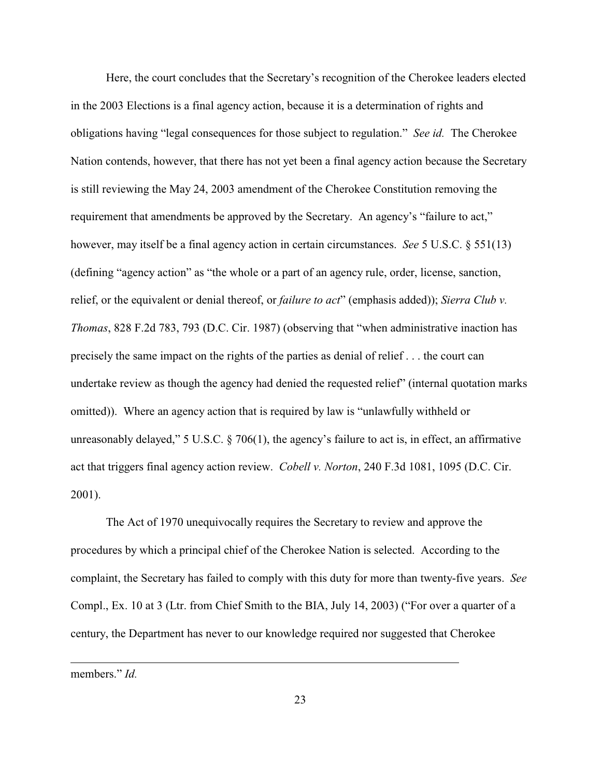Here, the court concludes that the Secretary's recognition of the Cherokee leaders elected in the 2003 Elections is a final agency action, because it is a determination of rights and obligations having "legal consequences for those subject to regulation." *See id.* The Cherokee Nation contends, however, that there has not yet been a final agency action because the Secretary is still reviewing the May 24, 2003 amendment of the Cherokee Constitution removing the requirement that amendments be approved by the Secretary. An agency's "failure to act," however, may itself be a final agency action in certain circumstances. *See* 5 U.S.C. § 551(13) (defining "agency action" as "the whole or a part of an agency rule, order, license, sanction, relief, or the equivalent or denial thereof, or *failure to act*" (emphasis added)); *Sierra Club v. Thomas*, 828 F.2d 783, 793 (D.C. Cir. 1987) (observing that "when administrative inaction has precisely the same impact on the rights of the parties as denial of relief . . . the court can undertake review as though the agency had denied the requested relief" (internal quotation marks omitted)). Where an agency action that is required by law is "unlawfully withheld or unreasonably delayed," 5 U.S.C.  $\S$  706(1), the agency's failure to act is, in effect, an affirmative act that triggers final agency action review. *Cobell v. Norton*, 240 F.3d 1081, 1095 (D.C. Cir. 2001).

The Act of 1970 unequivocally requires the Secretary to review and approve the procedures by which a principal chief of the Cherokee Nation is selected. According to the complaint, the Secretary has failed to comply with this duty for more than twenty-five years. *See* Compl., Ex. 10 at 3 (Ltr. from Chief Smith to the BIA, July 14, 2003) ("For over a quarter of a century, the Department has never to our knowledge required nor suggested that Cherokee

members." *Id.*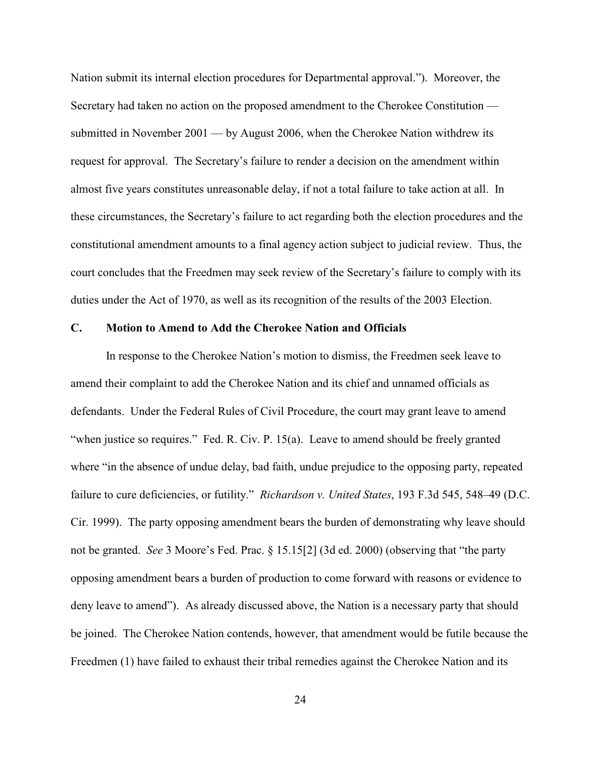Nation submit its internal election procedures for Departmental approval."). Moreover, the Secretary had taken no action on the proposed amendment to the Cherokee Constitution submitted in November 2001 — by August 2006, when the Cherokee Nation withdrew its request for approval. The Secretary's failure to render a decision on the amendment within almost five years constitutes unreasonable delay, if not a total failure to take action at all. In these circumstances, the Secretary's failure to act regarding both the election procedures and the constitutional amendment amounts to a final agency action subject to judicial review. Thus, the court concludes that the Freedmen may seek review of the Secretary's failure to comply with its duties under the Act of 1970, as well as its recognition of the results of the 2003 Election.

### **C. Motion to Amend to Add the Cherokee Nation and Officials**

In response to the Cherokee Nation's motion to dismiss, the Freedmen seek leave to amend their complaint to add the Cherokee Nation and its chief and unnamed officials as defendants. Under the Federal Rules of Civil Procedure, the court may grant leave to amend "when justice so requires." Fed. R. Civ. P. 15(a). Leave to amend should be freely granted where "in the absence of undue delay, bad faith, undue prejudice to the opposing party, repeated failure to cure deficiencies, or futility." *Richardson v. United States*, 193 F.3d 545, 548–49 (D.C. Cir. 1999). The party opposing amendment bears the burden of demonstrating why leave should not be granted. *See* 3 Moore's Fed. Prac. § 15.15[2] (3d ed. 2000) (observing that "the party opposing amendment bears a burden of production to come forward with reasons or evidence to deny leave to amend"). As already discussed above, the Nation is a necessary party that should be joined. The Cherokee Nation contends, however, that amendment would be futile because the Freedmen (1) have failed to exhaust their tribal remedies against the Cherokee Nation and its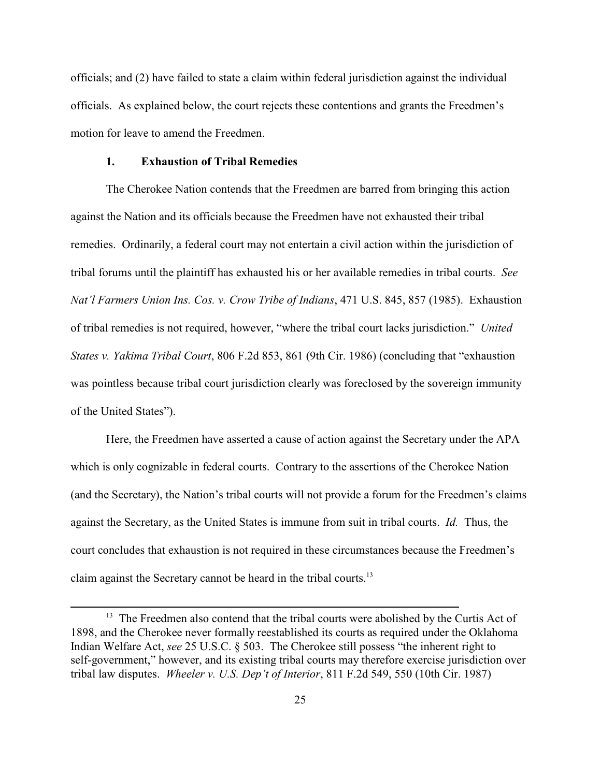officials; and (2) have failed to state a claim within federal jurisdiction against the individual officials. As explained below, the court rejects these contentions and grants the Freedmen's motion for leave to amend the Freedmen.

## **1. Exhaustion of Tribal Remedies**

The Cherokee Nation contends that the Freedmen are barred from bringing this action against the Nation and its officials because the Freedmen have not exhausted their tribal remedies. Ordinarily, a federal court may not entertain a civil action within the jurisdiction of tribal forums until the plaintiff has exhausted his or her available remedies in tribal courts. *See Nat'l Farmers Union Ins. Cos. v. Crow Tribe of Indians*, 471 U.S. 845, 857 (1985). Exhaustion of tribal remedies is not required, however, "where the tribal court lacks jurisdiction." *United States v. Yakima Tribal Court*, 806 F.2d 853, 861 (9th Cir. 1986) (concluding that "exhaustion was pointless because tribal court jurisdiction clearly was foreclosed by the sovereign immunity of the United States").

Here, the Freedmen have asserted a cause of action against the Secretary under the APA which is only cognizable in federal courts. Contrary to the assertions of the Cherokee Nation (and the Secretary), the Nation's tribal courts will not provide a forum for the Freedmen's claims against the Secretary, as the United States is immune from suit in tribal courts. *Id.* Thus, the court concludes that exhaustion is not required in these circumstances because the Freedmen's claim against the Secretary cannot be heard in the tribal courts.13

 $13$  The Freedmen also contend that the tribal courts were abolished by the Curtis Act of 1898, and the Cherokee never formally reestablished its courts as required under the Oklahoma Indian Welfare Act, *see* 25 U.S.C. § 503. The Cherokee still possess "the inherent right to self-government," however, and its existing tribal courts may therefore exercise jurisdiction over tribal law disputes. *Wheeler v. U.S. Dep't of Interior*, 811 F.2d 549, 550 (10th Cir. 1987)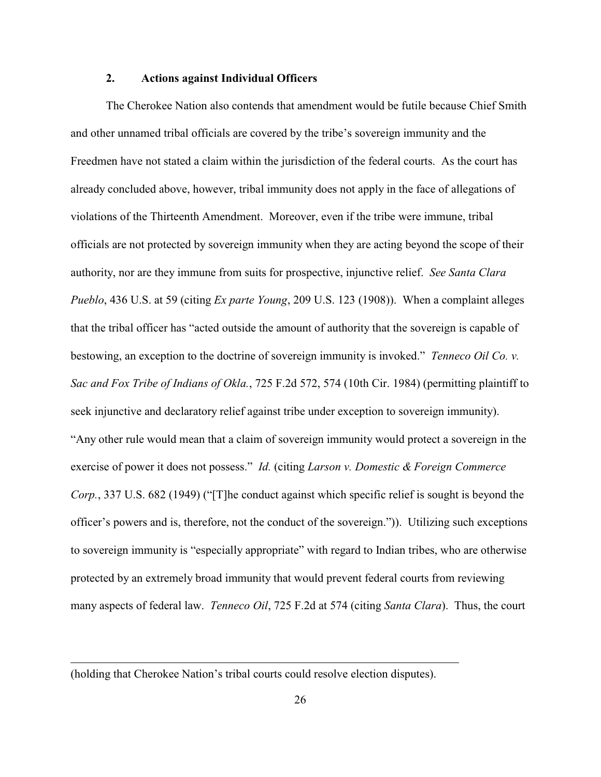## **2. Actions against Individual Officers**

The Cherokee Nation also contends that amendment would be futile because Chief Smith and other unnamed tribal officials are covered by the tribe's sovereign immunity and the Freedmen have not stated a claim within the jurisdiction of the federal courts. As the court has already concluded above, however, tribal immunity does not apply in the face of allegations of violations of the Thirteenth Amendment. Moreover, even if the tribe were immune, tribal officials are not protected by sovereign immunity when they are acting beyond the scope of their authority, nor are they immune from suits for prospective, injunctive relief. *See Santa Clara Pueblo*, 436 U.S. at 59 (citing *Ex parte Young*, 209 U.S. 123 (1908)). When a complaint alleges that the tribal officer has "acted outside the amount of authority that the sovereign is capable of bestowing, an exception to the doctrine of sovereign immunity is invoked." *Tenneco Oil Co. v. Sac and Fox Tribe of Indians of Okla.*, 725 F.2d 572, 574 (10th Cir. 1984) (permitting plaintiff to seek injunctive and declaratory relief against tribe under exception to sovereign immunity). "Any other rule would mean that a claim of sovereign immunity would protect a sovereign in the exercise of power it does not possess." *Id.* (citing *Larson v. Domestic & Foreign Commerce Corp.*, 337 U.S. 682 (1949) ("[T]he conduct against which specific relief is sought is beyond the officer's powers and is, therefore, not the conduct of the sovereign.")). Utilizing such exceptions to sovereign immunity is "especially appropriate" with regard to Indian tribes, who are otherwise protected by an extremely broad immunity that would prevent federal courts from reviewing many aspects of federal law. *Tenneco Oil*, 725 F.2d at 574 (citing *Santa Clara*). Thus, the court

<sup>(</sup>holding that Cherokee Nation's tribal courts could resolve election disputes).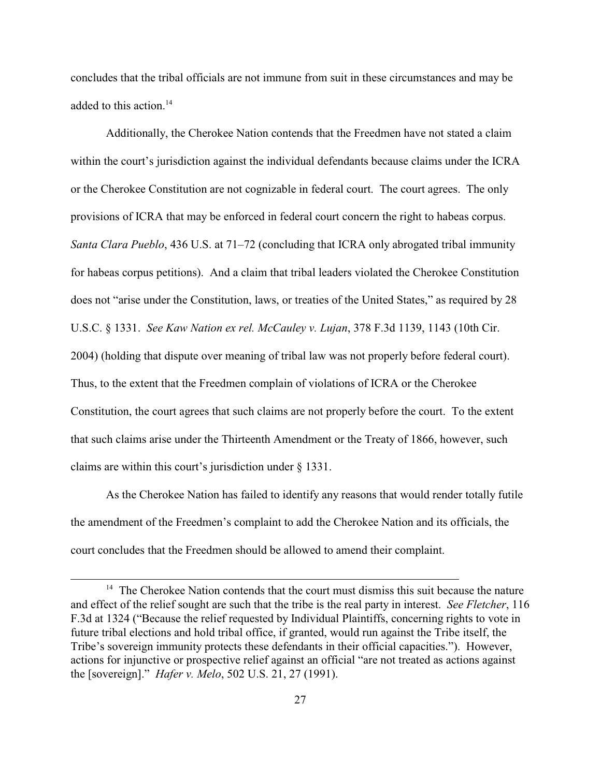concludes that the tribal officials are not immune from suit in these circumstances and may be added to this action.<sup>14</sup>

Additionally, the Cherokee Nation contends that the Freedmen have not stated a claim within the court's jurisdiction against the individual defendants because claims under the ICRA or the Cherokee Constitution are not cognizable in federal court. The court agrees. The only provisions of ICRA that may be enforced in federal court concern the right to habeas corpus. *Santa Clara Pueblo*, 436 U.S. at 71–72 (concluding that ICRA only abrogated tribal immunity for habeas corpus petitions). And a claim that tribal leaders violated the Cherokee Constitution does not "arise under the Constitution, laws, or treaties of the United States," as required by 28 U.S.C. § 1331. *See Kaw Nation ex rel. McCauley v. Lujan*, 378 F.3d 1139, 1143 (10th Cir. 2004) (holding that dispute over meaning of tribal law was not properly before federal court). Thus, to the extent that the Freedmen complain of violations of ICRA or the Cherokee Constitution, the court agrees that such claims are not properly before the court. To the extent that such claims arise under the Thirteenth Amendment or the Treaty of 1866, however, such claims are within this court's jurisdiction under § 1331.

As the Cherokee Nation has failed to identify any reasons that would render totally futile the amendment of the Freedmen's complaint to add the Cherokee Nation and its officials, the court concludes that the Freedmen should be allowed to amend their complaint.

 $14$  The Cherokee Nation contends that the court must dismiss this suit because the nature and effect of the relief sought are such that the tribe is the real party in interest. *See Fletcher*, 116 F.3d at 1324 ("Because the relief requested by Individual Plaintiffs, concerning rights to vote in future tribal elections and hold tribal office, if granted, would run against the Tribe itself, the Tribe's sovereign immunity protects these defendants in their official capacities."). However, actions for injunctive or prospective relief against an official "are not treated as actions against the [sovereign]." *Hafer v. Melo*, 502 U.S. 21, 27 (1991).